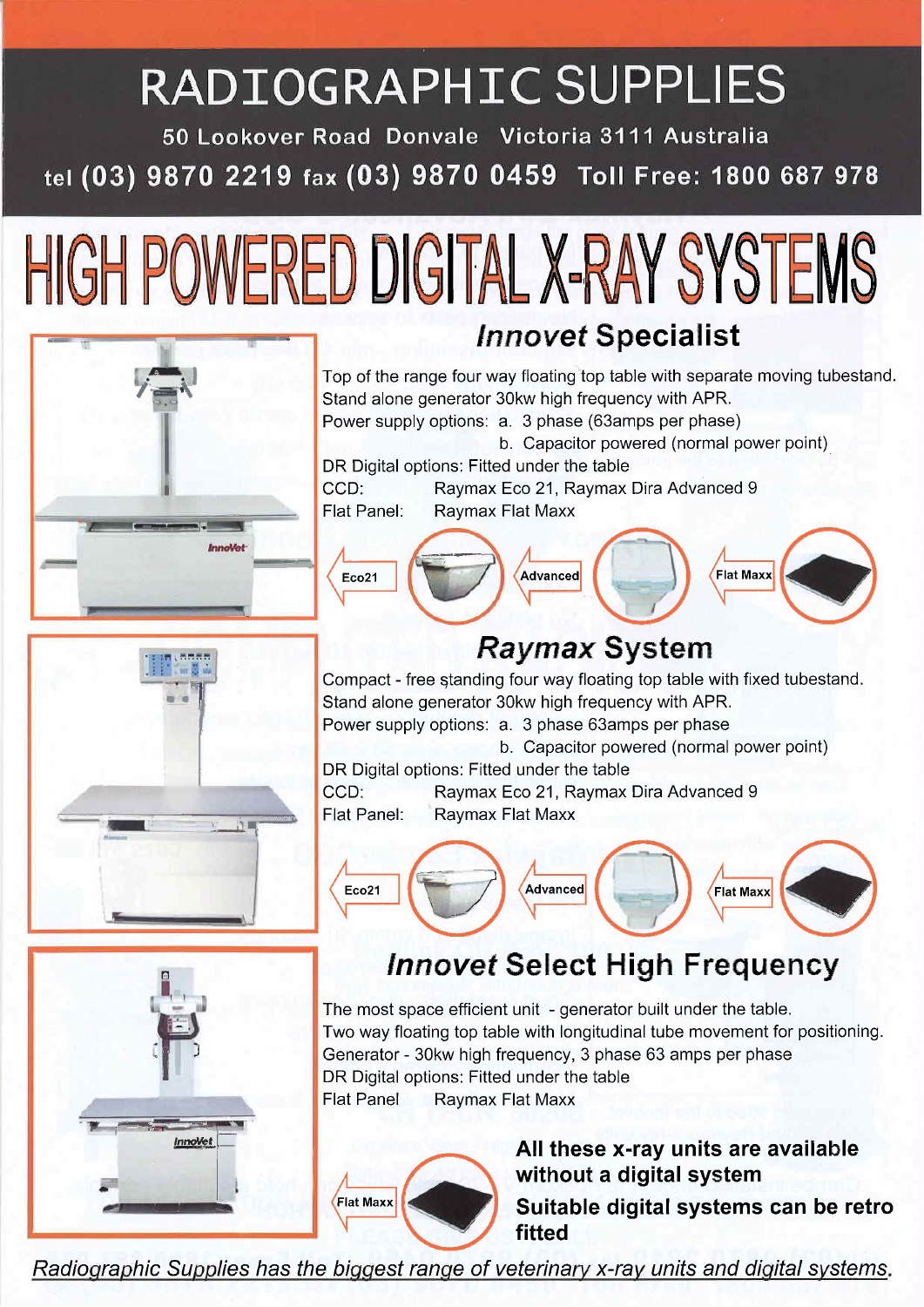## RADIOGRAPHIC SUPPLIES

50 Lookover Road Donvale Victoria 3111 Australia tel (03) 9870 2219 fax (03) 9870 0459 Toll Free: 1800 687 978





## I . I . I . T . T . T . T  $\frac{1}{1}$  ...  $\frac{5}{1}$  ...  $-1$ ~-- I\_~.\_\_- ~. " . -

L .'-' iJ

 $\left( \begin{matrix} \blacksquare \ \blacksquare \end{matrix} \right)$ 

InnoVet

'" o .

. --~....

i: ~



Top of the range four way floating top table with separate moving tubestand. Stand alone generator 30kw high frequency with APR. Power supply options: a. 3 phase (63amps per phase) b. Capacitor powered (normal power point) DR Digital options: Fitted under the table CCD: Raymax Eco 21, Raymax Dira Advanced 9<br>Flat Panel: Raymax Flat Maxx **Raymax Flat Maxx** 



## Raymax System

Compact - free standing four way floating top table with fixed tubestand. Stand alone generator 30kw high frequency with APR. Power supply options: a. 3 phase 63amps per phase

b. Capacitor powered (normal power point)

DR Digital options: Fitted under the table CCD: Raymax Eco 21, Raymax Dira Advanced 9<br>Flat Panel: Raymax Flat Maxx **Raymax Flat Maxx** 



## **Innovet Select High Frequency**

The most space efficient unit - generator built under the table. Two way floating top table with longitudinal tube movement for positioning. Generator - 30kw high frequency, 3 phase 63 amps per phase DR Digital options: Fitted under the table Flat Panel Raymax Flat Maxx



All these x-ray units are available without a digital system Suitable digital systems can be retro fitted

Radiographic Supplies has the biggest range of veterinary x-ray units and digital systems.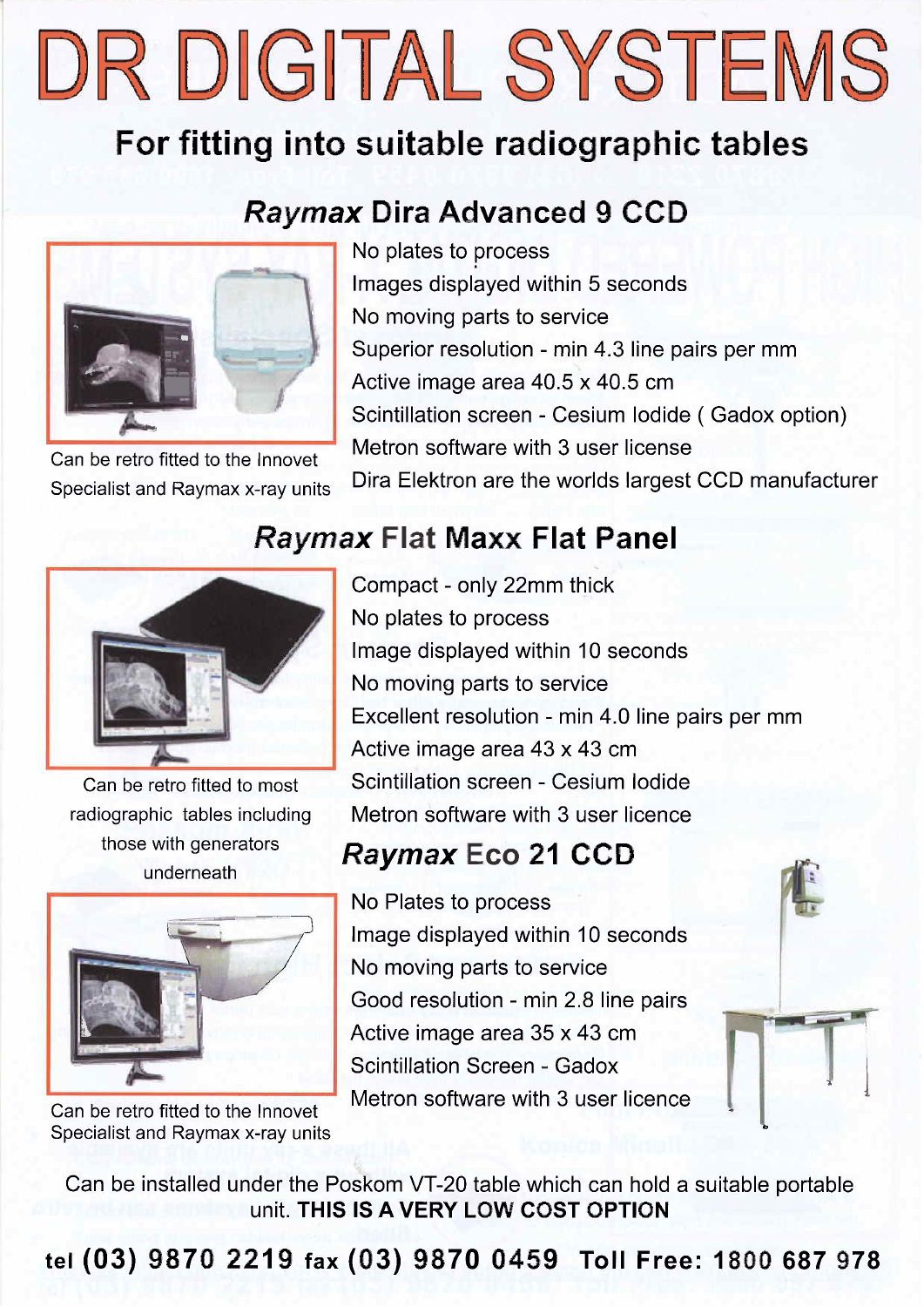DR DIGITAL SYSTEMS

## For fitting into suitable radiographic tables

## Raymax Oira Advanced 9 CCO

Raymax Flat Maxx Flat Panel



Can be retro fitted to the Innovet Specialist and Raymax x-ray units No plates to process Images displayed within 5 seconds No moving parts to service Superior resolution - min 4.3 line pairs per mm , Active image area 40.5 x 40.5 cm Scintillation screen - Cesium Iodide ( Gadox option) Metron software with 3 user license Dira Elektron are the worlds largest CCD manufacturer

Can be retro fitted to most radiographic tables including those with generators underneath



Can be retro fitted to the Innovet Specialist and Raymax x-ray units Compact - only 22mm thick No plates to process Image displayed within 10 seconds No moving parts to service Excellent resolution - min 4.0 line pairs per mm Active image area 43 x 43 cm Scintillation screen - Cesium Iodide Metron software with 3 user licence

## Raymax Eco 21 CCO

No Plates to process Image displayed within 10 seconds No moving parts to service Good resolution - min 2.8 line pairs Active image area 35 x 43 cm Scintillation Screen - Gadox Metron software with 3 user licence



Can be installed under the Poskom VT-20 table which can hold a suitable portable unit. THIS IS A VERY LOW COST OPTION

tel (03) 9870 2219 fax (03) 9870 0459 Toll Free: 1800 687 978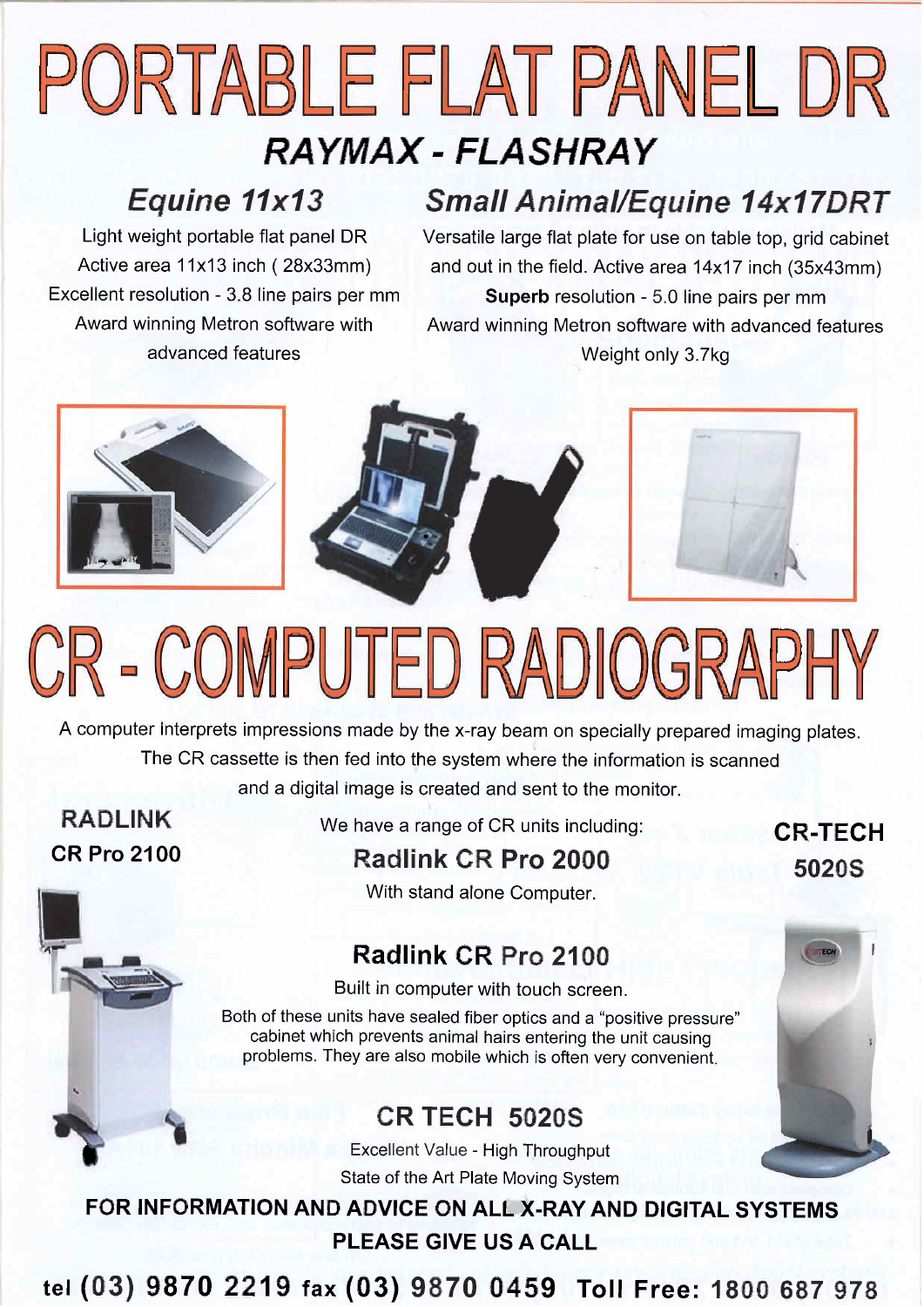## PORTABLE FLAT PANEL DR RAYMAX - FLASHRAY

## Equine 11x13

Light weight portable flat panel DR Active area 11x13 inch (28x33mm) Excellent resolution - 3.8 line pairs per mm Award winning Metron software with advanced features

## Small Animal/Equine 14x17DRT

Versatile large flat plate for use on table top, grid cabinet and out in the field. Active area 14x17 inch (35x43mm) Superb resolution - 5.0 line pairs per mm Award winning Metron software with advanced features Weight only 3.7kg



# CR - COMPUTED RADIOGRAPHY

A computer interprets impressions made by the x-ray beam on specially prepared imaging plates. The CR cassette is then fed into the system where the information is scanned and a digital image is created and sent to the monitor.

RADLINK CR Pro 2100 **I** 

 $\frac{1}{2}$ 

~ .

We have a range of CR units including:

CR-TECH 50205



## Radlink CR Pro 2100

Built in computer with touch screen.

Both of these units have sealed fiber optics and a "positive pressure" cabinet which prevents animal hairs entering the unit causing problems. They are also mobile which is often very convenient.

### CR TECH 50205

Excellent Value - High Throughput State of the Art Plate Moving System

FOR INFORMATION AND ADVICE ON ALL X-RAY AND DIGITAL SYSTEMS PLEASE GIVE US A CALL

tel (03) 9870 2219 fax (03) 9870 0459 Toll Free: 1800 687 978